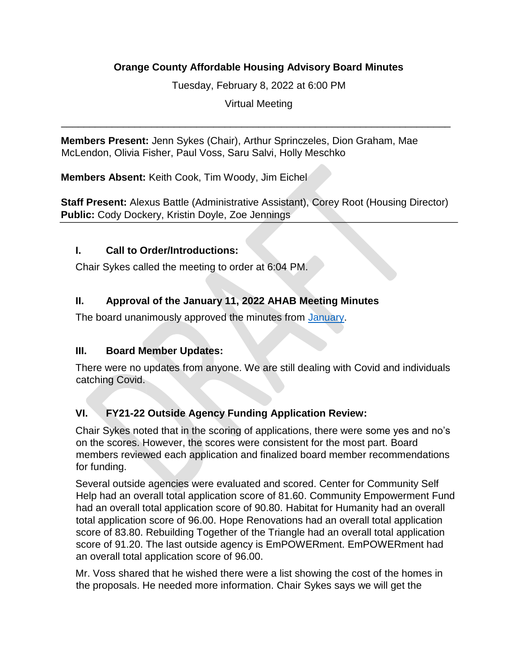#### **Orange County Affordable Housing Advisory Board Minutes**

Tuesday, February 8, 2022 at 6:00 PM

Virtual Meeting

\_\_\_\_\_\_\_\_\_\_\_\_\_\_\_\_\_\_\_\_\_\_\_\_\_\_\_\_\_\_\_\_\_\_\_\_\_\_\_\_\_\_\_\_\_\_\_\_\_\_\_\_\_\_\_\_\_\_\_\_\_\_\_\_\_\_\_\_\_

**Members Present:** Jenn Sykes (Chair), Arthur Sprinczeles, Dion Graham, Mae McLendon, Olivia Fisher, Paul Voss, Saru Salvi, Holly Meschko

**Members Absent:** Keith Cook, Tim Woody, Jim Eichel

**Staff Present:** Alexus Battle (Administrative Assistant), Corey Root (Housing Director) **Public:** Cody Dockery, Kristin Doyle, Zoe Jennings

#### **I. Call to Order/Introductions:**

Chair Sykes called the meeting to order at 6:04 PM.

## **II. Approval of the January 11, 2022 AHAB Meeting Minutes**

The board unanimously approved the minutes from [January.](file://///monarch/Depts_AH/HHRCD/H%20&%20CD%20Programs/AHAB/Minutes/2022/AHAB%20Minutes%201.11.22%20DRAFT.pdf) 

#### **III. Board Member Updates:**

There were no updates from anyone. We are still dealing with Covid and individuals catching Covid.

## **VI. FY21-22 Outside Agency Funding Application Review:**

Chair Sykes noted that in the scoring of applications, there were some yes and no's on the scores. However, the scores were consistent for the most part. Board members reviewed each application and finalized board member recommendations for funding.

Several outside agencies were evaluated and scored. Center for Community Self Help had an overall total application score of 81.60. Community Empowerment Fund had an overall total application score of 90.80. Habitat for Humanity had an overall total application score of 96.00. Hope Renovations had an overall total application score of 83.80. Rebuilding Together of the Triangle had an overall total application score of 91.20. The last outside agency is EmPOWERment. EmPOWERment had an overall total application score of 96.00.

Mr. Voss shared that he wished there were a list showing the cost of the homes in the proposals. He needed more information. Chair Sykes says we will get the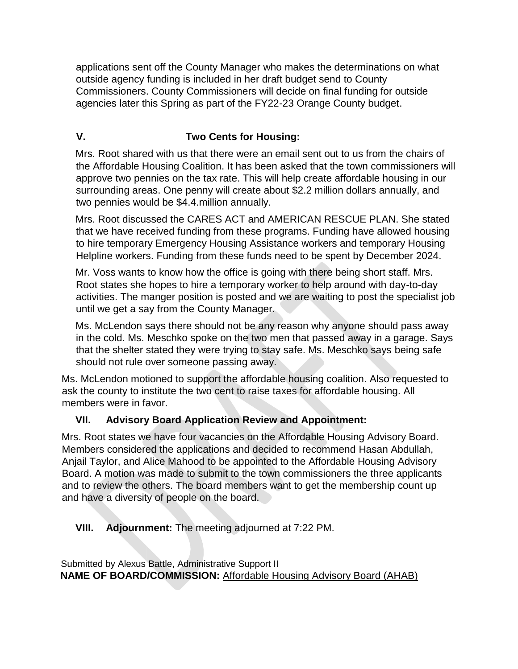applications sent off the County Manager who makes the determinations on what outside agency funding is included in her draft budget send to County Commissioners. County Commissioners will decide on final funding for outside agencies later this Spring as part of the FY22-23 Orange County budget.

# **V. Two Cents for Housing:**

Mrs. Root shared with us that there were an email sent out to us from the chairs of the Affordable Housing Coalition. It has been asked that the town commissioners will approve two pennies on the tax rate. This will help create affordable housing in our surrounding areas. One penny will create about \$2.2 million dollars annually, and two pennies would be \$4.4.million annually.

Mrs. Root discussed the CARES ACT and AMERICAN RESCUE PLAN. She stated that we have received funding from these programs. Funding have allowed housing to hire temporary Emergency Housing Assistance workers and temporary Housing Helpline workers. Funding from these funds need to be spent by December 2024.

Mr. Voss wants to know how the office is going with there being short staff. Mrs. Root states she hopes to hire a temporary worker to help around with day-to-day activities. The manger position is posted and we are waiting to post the specialist job until we get a say from the County Manager.

Ms. McLendon says there should not be any reason why anyone should pass away in the cold. Ms. Meschko spoke on the two men that passed away in a garage. Says that the shelter stated they were trying to stay safe. Ms. Meschko says being safe should not rule over someone passing away.

Ms. McLendon motioned to support the affordable housing coalition. Also requested to ask the county to institute the two cent to raise taxes for affordable housing. All members were in favor.

## **VII. Advisory Board Application Review and Appointment:**

Mrs. Root states we have four vacancies on the Affordable Housing Advisory Board. Members considered the applications and decided to recommend Hasan Abdullah, Anjail Taylor, and Alice Mahood to be appointed to the Affordable Housing Advisory Board. A motion was made to submit to the town commissioners the three applicants and to review the others. The board members want to get the membership count up and have a diversity of people on the board.

## **VIII. Adjournment:** The meeting adjourned at 7:22 PM.

Submitted by Alexus Battle, Administrative Support II **NAME OF BOARD/COMMISSION:** Affordable Housing Advisory Board (AHAB)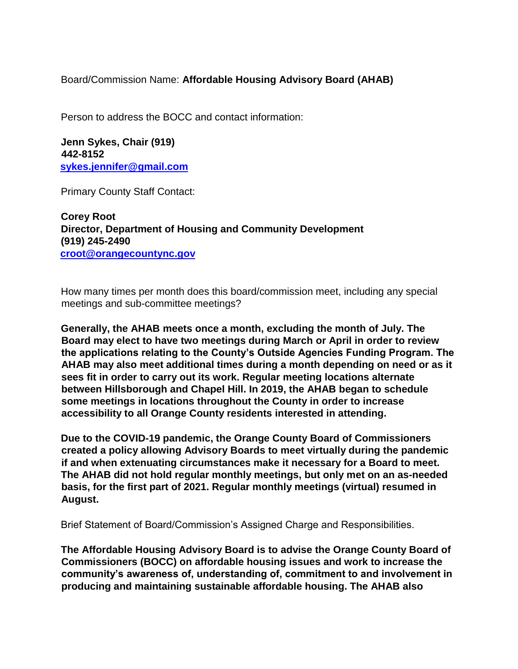Board/Commission Name: **Affordable Housing Advisory Board (AHAB)**

Person to address the BOCC and contact information:

**Jenn Sykes, Chair (919) 442-8152 sykes.jennifer@gmail.com** 

Primary County Staff Contact:

**Corey Root Director, Department of Housing and Community Development (919) 245-2490 croot@orangecountync.gov**

How many times per month does this board/commission meet, including any special meetings and sub-committee meetings?

**Generally, the AHAB meets once a month, excluding the month of July. The Board may elect to have two meetings during March or April in order to review the applications relating to the County's Outside Agencies Funding Program. The AHAB may also meet additional times during a month depending on need or as it sees fit in order to carry out its work. Regular meeting locations alternate between Hillsborough and Chapel Hill. In 2019, the AHAB began to schedule some meetings in locations throughout the County in order to increase accessibility to all Orange County residents interested in attending.** 

**Due to the COVID-19 pandemic, the Orange County Board of Commissioners created a policy allowing Advisory Boards to meet virtually during the pandemic if and when extenuating circumstances make it necessary for a Board to meet. The AHAB did not hold regular monthly meetings, but only met on an as-needed basis, for the first part of 2021. Regular monthly meetings (virtual) resumed in August.** 

Brief Statement of Board/Commission's Assigned Charge and Responsibilities.

**The Affordable Housing Advisory Board is to advise the Orange County Board of Commissioners (BOCC) on affordable housing issues and work to increase the community's awareness of, understanding of, commitment to and involvement in producing and maintaining sustainable affordable housing. The AHAB also**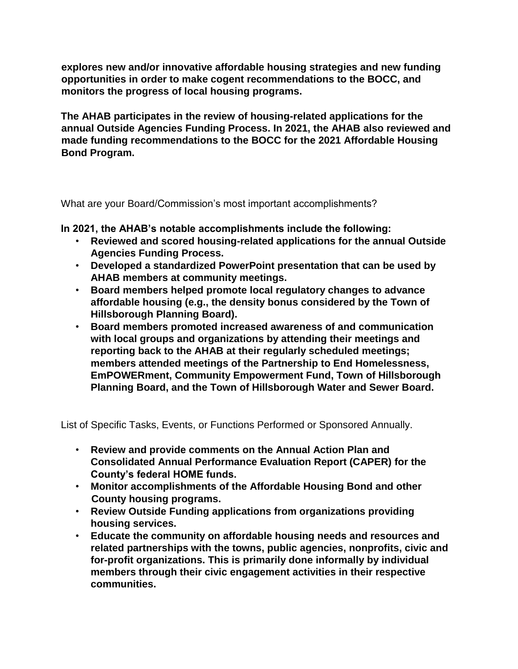**explores new and/or innovative affordable housing strategies and new funding opportunities in order to make cogent recommendations to the BOCC, and monitors the progress of local housing programs.** 

**The AHAB participates in the review of housing-related applications for the annual Outside Agencies Funding Process. In 2021, the AHAB also reviewed and made funding recommendations to the BOCC for the 2021 Affordable Housing Bond Program.** 

What are your Board/Commission's most important accomplishments?

**In 2021, the AHAB's notable accomplishments include the following:** 

- **Reviewed and scored housing-related applications for the annual Outside Agencies Funding Process.**
- **Developed a standardized PowerPoint presentation that can be used by AHAB members at community meetings.**
- **Board members helped promote local regulatory changes to advance affordable housing (e.g., the density bonus considered by the Town of Hillsborough Planning Board).**
- **Board members promoted increased awareness of and communication with local groups and organizations by attending their meetings and reporting back to the AHAB at their regularly scheduled meetings; members attended meetings of the Partnership to End Homelessness, EmPOWERment, Community Empowerment Fund, Town of Hillsborough Planning Board, and the Town of Hillsborough Water and Sewer Board.**

List of Specific Tasks, Events, or Functions Performed or Sponsored Annually.

- **Review and provide comments on the Annual Action Plan and Consolidated Annual Performance Evaluation Report (CAPER) for the County's federal HOME funds.**
- **Monitor accomplishments of the Affordable Housing Bond and other County housing programs.**
- **Review Outside Funding applications from organizations providing housing services.**
- **Educate the community on affordable housing needs and resources and related partnerships with the towns, public agencies, nonprofits, civic and for-profit organizations. This is primarily done informally by individual members through their civic engagement activities in their respective communities.**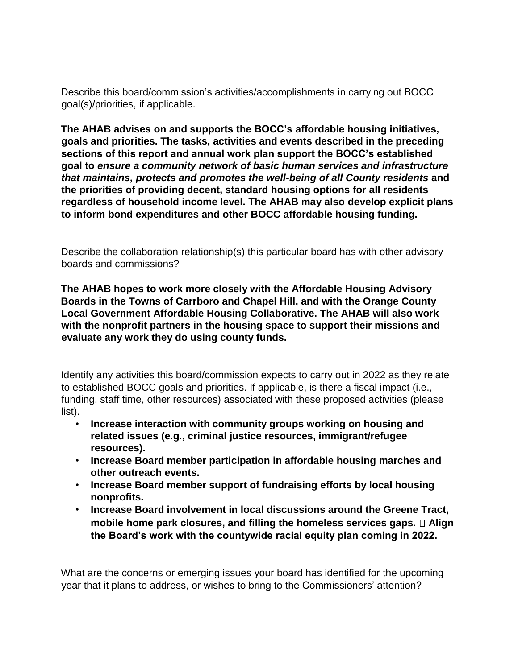Describe this board/commission's activities/accomplishments in carrying out BOCC goal(s)/priorities, if applicable.

**The AHAB advises on and supports the BOCC's affordable housing initiatives, goals and priorities. The tasks, activities and events described in the preceding sections of this report and annual work plan support the BOCC's established goal to** *ensure a community network of basic human services and infrastructure that maintains, protects and promotes the well-being of all County residents* **and the priorities of providing decent, standard housing options for all residents regardless of household income level. The AHAB may also develop explicit plans to inform bond expenditures and other BOCC affordable housing funding.** 

Describe the collaboration relationship(s) this particular board has with other advisory boards and commissions?

**The AHAB hopes to work more closely with the Affordable Housing Advisory Boards in the Towns of Carrboro and Chapel Hill, and with the Orange County Local Government Affordable Housing Collaborative. The AHAB will also work with the nonprofit partners in the housing space to support their missions and evaluate any work they do using county funds.** 

Identify any activities this board/commission expects to carry out in 2022 as they relate to established BOCC goals and priorities. If applicable, is there a fiscal impact (i.e., funding, staff time, other resources) associated with these proposed activities (please list).

- **Increase interaction with community groups working on housing and related issues (e.g., criminal justice resources, immigrant/refugee resources).**
- **Increase Board member participation in affordable housing marches and other outreach events.**
- **Increase Board member support of fundraising efforts by local housing nonprofits.**
- **Increase Board involvement in local discussions around the Greene Tract, mobile home park closures, and filling the homeless services gaps.**  $\Box$  Align **the Board's work with the countywide racial equity plan coming in 2022.**

What are the concerns or emerging issues your board has identified for the upcoming year that it plans to address, or wishes to bring to the Commissioners' attention?